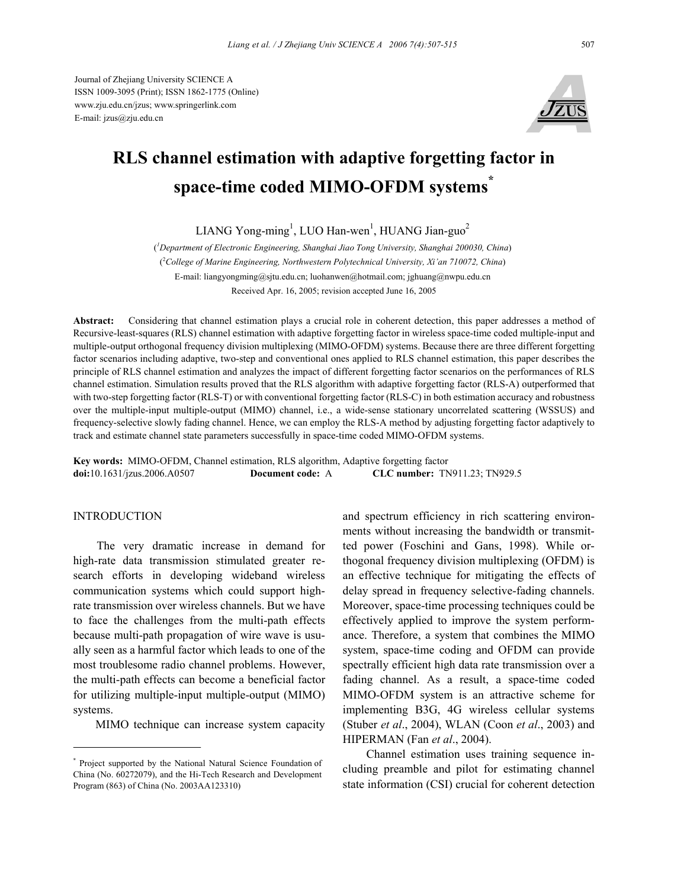Journal of Zhejiang University SCIENCE A ISSN 1009-3095 (Print); ISSN 1862-1775 (Online) www.zju.edu.cn/jzus; www.springerlink.com E-mail: jzus@zju.edu.cn



# **RLS channel estimation with adaptive forgetting factor in space-time coded MIMO-OFDM systems\***

LIANG Yong-ming<sup>1</sup>, LUO Han-wen<sup>1</sup>, HUANG Jian-guo<sup>2</sup>

( *1 Department of Electronic Engineering, Shanghai Jiao Tong University, Shanghai 200030, China*) ( 2 *College of Marine Engineering, Northwestern Polytechnical University, Xi'an 710072, China*) E-mail: liangyongming@sjtu.edu.cn; luohanwen@hotmail.com; jghuang@nwpu.edu.cn Received Apr. 16, 2005; revision accepted June 16, 2005

**Abstract:** Considering that channel estimation plays a crucial role in coherent detection, this paper addresses a method of Recursive-least-squares (RLS) channel estimation with adaptive forgetting factor in wireless space-time coded multiple-input and multiple-output orthogonal frequency division multiplexing (MIMO-OFDM) systems. Because there are three different forgetting factor scenarios including adaptive, two-step and conventional ones applied to RLS channel estimation, this paper describes the principle of RLS channel estimation and analyzes the impact of different forgetting factor scenarios on the performances of RLS channel estimation. Simulation results proved that the RLS algorithm with adaptive forgetting factor (RLS-A) outperformed that with two-step forgetting factor (RLS-T) or with conventional forgetting factor (RLS-C) in both estimation accuracy and robustness over the multiple-input multiple-output (MIMO) channel, i.e., a wide-sense stationary uncorrelated scattering (WSSUS) and frequency-selective slowly fading channel. Hence, we can employ the RLS-A method by adjusting forgetting factor adaptively to track and estimate channel state parameters successfully in space-time coded MIMO-OFDM systems.

**Key words:** MIMO-OFDM, Channel estimation, RLS algorithm, Adaptive forgetting factor **doi:**10.1631/jzus.2006.A0507 **Document code:** A **CLC number:** TN911.23; TN929.5

# **INTRODUCTION**

The very dramatic increase in demand for high-rate data transmission stimulated greater research efforts in developing wideband wireless communication systems which could support highrate transmission over wireless channels. But we have to face the challenges from the multi-path effects because multi-path propagation of wire wave is usually seen as a harmful factor which leads to one of the most troublesome radio channel problems. However, the multi-path effects can become a beneficial factor for utilizing multiple-input multiple-output (MIMO) systems.

MIMO technique can increase system capacity

and spectrum efficiency in rich scattering environments without increasing the bandwidth or transmitted power (Foschini and Gans, 1998). While orthogonal frequency division multiplexing (OFDM) is an effective technique for mitigating the effects of delay spread in frequency selective-fading channels. Moreover, space-time processing techniques could be effectively applied to improve the system performance. Therefore, a system that combines the MIMO system, space-time coding and OFDM can provide spectrally efficient high data rate transmission over a fading channel. As a result, a space-time coded MIMO-OFDM system is an attractive scheme for implementing B3G, 4G wireless cellular systems (Stuber *et al*., 2004), WLAN (Coon *et al*., 2003) and HIPERMAN (Fan *et al*., 2004).

Channel estimation uses training sequence including preamble and pilot for estimating channel state information (CSI) crucial for coherent detection

<sup>\*</sup> Project supported by the National Natural Science Foundation of China (No. 60272079), and the Hi-Tech Research and Development Program (863) of China (No. 2003AA123310)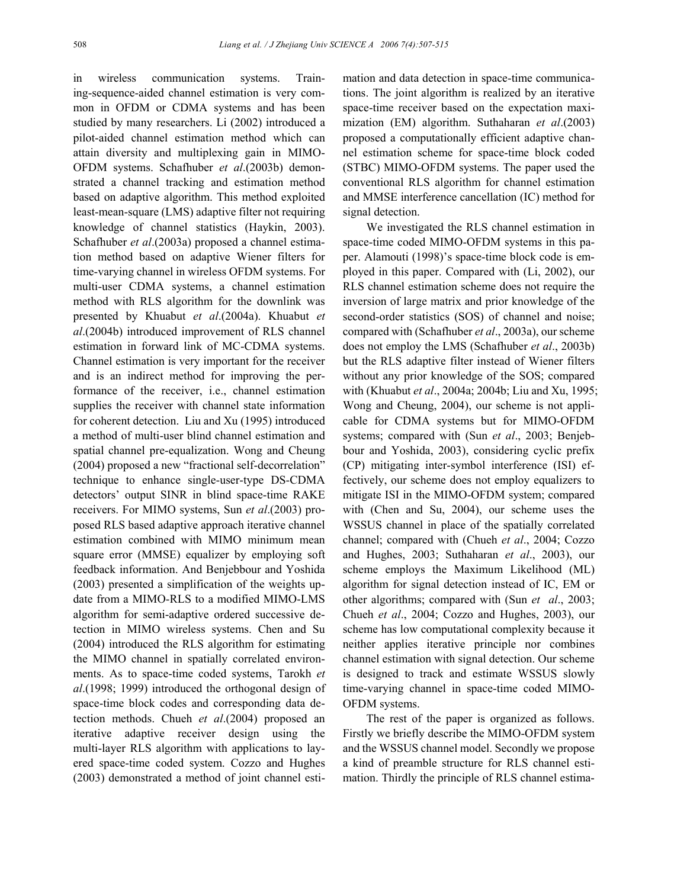in wireless communication systems. Training-sequence-aided channel estimation is very common in OFDM or CDMA systems and has been studied by many researchers. Li (2002) introduced a pilot-aided channel estimation method which can attain diversity and multiplexing gain in MIMO-OFDM systems. Schafhuber *et al*.(2003b) demonstrated a channel tracking and estimation method based on adaptive algorithm. This method exploited least-mean-square (LMS) adaptive filter not requiring knowledge of channel statistics (Haykin, 2003). Schafhuber *et al*.(2003a) proposed a channel estimation method based on adaptive Wiener filters for time-varying channel in wireless OFDM systems. For multi-user CDMA systems, a channel estimation method with RLS algorithm for the downlink was presented by Khuabut *et al*.(2004a). Khuabut *et al*.(2004b) introduced improvement of RLS channel estimation in forward link of MC-CDMA systems. Channel estimation is very important for the receiver and is an indirect method for improving the performance of the receiver, i.e., channel estimation supplies the receiver with channel state information for coherent detection. Liu and Xu (1995) introduced a method of multi-user blind channel estimation and spatial channel pre-equalization. Wong and Cheung (2004) proposed a new "fractional self-decorrelation" technique to enhance single-user-type DS-CDMA detectors' output SINR in blind space-time RAKE receivers. For MIMO systems, Sun *et al*.(2003) proposed RLS based adaptive approach iterative channel estimation combined with MIMO minimum mean square error (MMSE) equalizer by employing soft feedback information. And Benjebbour and Yoshida (2003) presented a simplification of the weights update from a MIMO-RLS to a modified MIMO-LMS algorithm for semi-adaptive ordered successive detection in MIMO wireless systems. Chen and Su (2004) introduced the RLS algorithm for estimating the MIMO channel in spatially correlated environments. As to space-time coded systems, Tarokh *et al*.(1998; 1999) introduced the orthogonal design of space-time block codes and corresponding data detection methods. Chueh *et al*.(2004) proposed an iterative adaptive receiver design using the multi-layer RLS algorithm with applications to layered space-time coded system. Cozzo and Hughes (2003) demonstrated a method of joint channel esti-

mation and data detection in space-time communications. The joint algorithm is realized by an iterative space-time receiver based on the expectation maximization (EM) algorithm. Suthaharan *et al*.(2003) proposed a computationally efficient adaptive channel estimation scheme for space-time block coded (STBC) MIMO-OFDM systems. The paper used the conventional RLS algorithm for channel estimation and MMSE interference cancellation (IC) method for signal detection.

We investigated the RLS channel estimation in space-time coded MIMO-OFDM systems in this paper. Alamouti (1998)'s space-time block code is employed in this paper. Compared with (Li, 2002), our RLS channel estimation scheme does not require the inversion of large matrix and prior knowledge of the second-order statistics (SOS) of channel and noise; compared with (Schafhuber *et al*., 2003a), our scheme does not employ the LMS (Schafhuber *et al*., 2003b) but the RLS adaptive filter instead of Wiener filters without any prior knowledge of the SOS; compared with (Khuabut *et al*., 2004a; 2004b; Liu and Xu, 1995; Wong and Cheung, 2004), our scheme is not applicable for CDMA systems but for MIMO-OFDM systems; compared with (Sun *et al*., 2003; Benjebbour and Yoshida, 2003), considering cyclic prefix (CP) mitigating inter-symbol interference (ISI) effectively, our scheme does not employ equalizers to mitigate ISI in the MIMO-OFDM system; compared with (Chen and Su, 2004), our scheme uses the WSSUS channel in place of the spatially correlated channel; compared with (Chueh *et al*., 2004; Cozzo and Hughes, 2003; Suthaharan *et al*., 2003), our scheme employs the Maximum Likelihood (ML) algorithm for signal detection instead of IC, EM or other algorithms; compared with (Sun *et al*., 2003; Chueh *et al*., 2004; Cozzo and Hughes, 2003), our scheme has low computational complexity because it neither applies iterative principle nor combines channel estimation with signal detection. Our scheme is designed to track and estimate WSSUS slowly time-varying channel in space-time coded MIMO-OFDM systems.

The rest of the paper is organized as follows. Firstly we briefly describe the MIMO-OFDM system and the WSSUS channel model. Secondly we propose a kind of preamble structure for RLS channel estimation. Thirdly the principle of RLS channel estima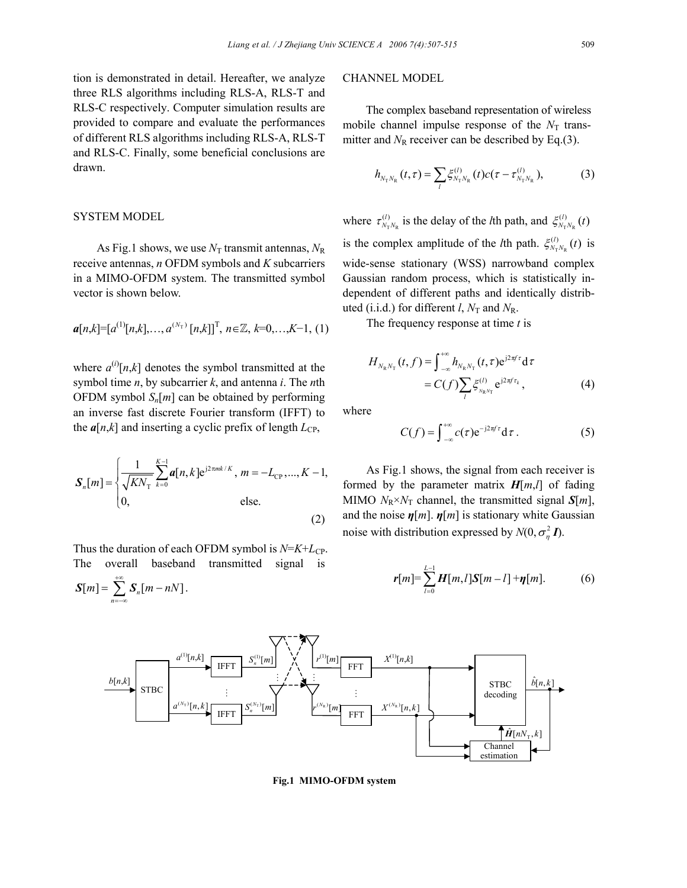tion is demonstrated in detail. Hereafter, we analyze three RLS algorithms including RLS-A, RLS-T and RLS-C respectively. Computer simulation results are provided to compare and evaluate the performances of different RLS algorithms including RLS-A, RLS-T and RLS-C. Finally, some beneficial conclusions are drawn.

# SYSTEM MODEL

As Fig.1 shows, we use  $N_T$  transmit antennas,  $N_R$ receive antennas, *n* OFDM symbols and *K* subcarriers in a MIMO-OFDM system. The transmitted symbol vector is shown below.

$$
a[n,k]=[a^{(1)}[n,k],...,a^{(N_{\text{T}})}[n,k]]^{\text{T}}, n \in \mathbb{Z}, k=0,...,K-1, (1)
$$

where  $a^{(i)}[n,k]$  denotes the symbol transmitted at the symbol time *n*, by subcarrier *k*, and antenna *i*. The *n*th OFDM symbol  $S_n[m]$  can be obtained by performing an inverse fast discrete Fourier transform (IFFT) to the  $a[n,k]$  and inserting a cyclic prefix of length  $L_{\text{CP}}$ ,

$$
\mathbf{S}_{n}[m] = \begin{cases} \frac{1}{\sqrt{KN_{\text{T}}}} \sum_{k=0}^{K-1} a[n,k] e^{j2\pi mk/K}, \ m = -L_{\text{CP}}, ..., K-1, \\ 0, \ \text{else.} \end{cases}
$$

Thus the duration of each OFDM symbol is  $N=K+L_{CP}$ . The overall baseband transmitted signal is



## CHANNEL MODEL

The complex baseband representation of wireless mobile channel impulse response of the  $N<sub>T</sub>$  transmitter and  $N_R$  receiver can be described by Eq.(3).

$$
h_{N_{\rm T}N_{\rm R}}(t,\tau) = \sum_{l} \xi_{N_{\rm T}N_{\rm R}}^{(l)}(t)c(\tau - \tau_{N_{\rm T}N_{\rm R}}^{(l)}), \tag{3}
$$

where  $\tau_{N_T N_R}^{(l)}$  is the delay of the *l*th path, and  $\xi_{N_T N_R}^{(l)}(t)$ is the complex amplitude of the *l*th path.  $\xi_{N_{\text{T}}N_{\text{R}}}^{(l)}(t)$  is wide-sense stationary (WSS) narrowband complex Gaussian random process, which is statistically independent of different paths and identically distributed (i.i.d.) for different *l*,  $N_T$  and  $N_R$ .

The frequency response at time *t* is

$$
H_{N_{R}N_{T}}(t,f) = \int_{-\infty}^{+\infty} h_{N_{R}N_{T}}(t,\tau) e^{j2\pi f\tau} d\tau
$$
  
=  $C(f) \sum_{l} \xi_{N_{R}N_{T}}^{(l)} e^{j2\pi f\tau_{k}},$  (4)

where

$$
C(f) = \int_{-\infty}^{+\infty} c(\tau) e^{-j2\pi f \tau} d\tau.
$$
 (5)

As Fig.1 shows, the signal from each receiver is formed by the parameter matrix  $H[m, l]$  of fading MIMO  $N_R \times N_T$  channel, the transmitted signal  $\mathbf{S}[m]$ , and the noise  $\eta[m]$ .  $\eta[m]$  is stationary white Gaussian noise with distribution expressed by  $N(0, \sigma_n^2 I)$ .

$$
r[m] = \sum_{l=0}^{L-1} H[m,l]S[m-l] + \eta[m]. \tag{6}
$$



**Fig.1 MIMO-OFDM system**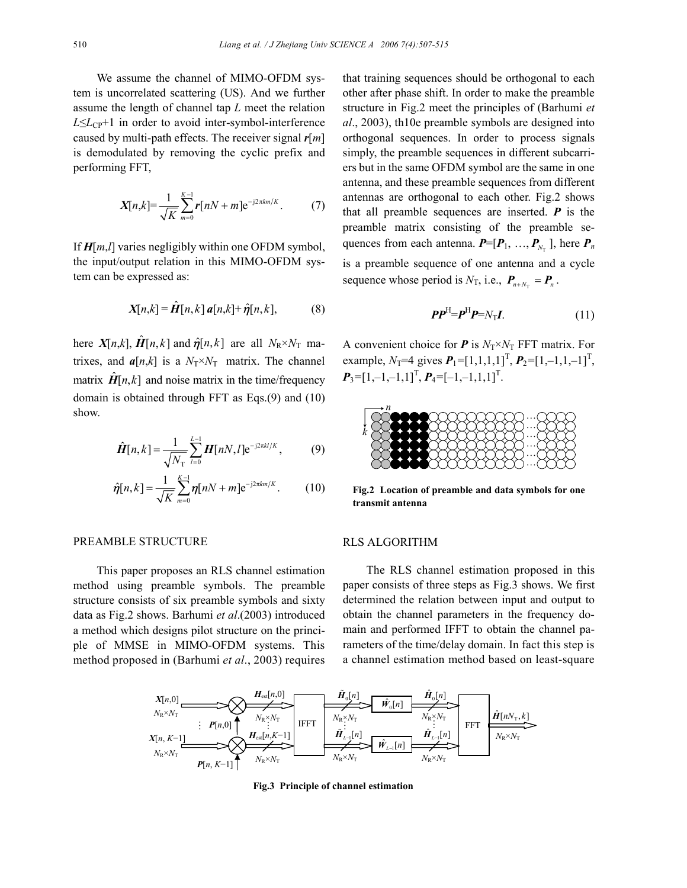We assume the channel of MIMO-OFDM system is uncorrelated scattering (US). And we further assume the length of channel tap *L* meet the relation  $L \leq L_{\text{CP}}+1$  in order to avoid inter-symbol-interference caused by multi-path effects. The receiver signal *r*[*m*] is demodulated by removing the cyclic prefix and performing FFT,

$$
X[n,k] = \frac{1}{\sqrt{K}} \sum_{m=0}^{K-1} r[nN+m] e^{-j2\pi km/K}.
$$
 (7)

If *H*[*m*,*l*] varies negligibly within one OFDM symbol, the input/output relation in this MIMO-OFDM system can be expressed as:

$$
X[n,k] = \hat{H}[n,k] a[n,k] + \hat{\eta}[n,k], \tag{8}
$$

here *X*[*n*,*k*],  $\hat{H}[n,k]$  and  $\hat{\eta}[n,k]$  are all  $N_R \times N_T$  matrixes, and  $a[n,k]$  is a  $N_T \times N_T$  matrix. The channel matrix  $\hat{H}[n,k]$  and noise matrix in the time/frequency domain is obtained through FFT as Eqs.(9) and (10) show.

$$
\hat{H}[n,k] = \frac{1}{\sqrt{N_{\rm T}}} \sum_{l=0}^{L-1} H[nN,l] e^{-j2\pi kl/K}, \qquad (9)
$$

$$
\hat{\eta}[n,k] = \frac{1}{\sqrt{K}} \sum_{m=0}^{K-1} \eta[nN+m] e^{-j2\pi km/K}.
$$
 (10)

## PREAMBLE STRUCTURE

This paper proposes an RLS channel estimation method using preamble symbols. The preamble structure consists of six preamble symbols and sixty data as Fig.2 shows. Barhumi *et al*.(2003) introduced a method which designs pilot structure on the principle of MMSE in MIMO-OFDM systems. This method proposed in (Barhumi *et al*., 2003) requires

that training sequences should be orthogonal to each other after phase shift. In order to make the preamble structure in Fig.2 meet the principles of (Barhumi *et al*., 2003), th10e preamble symbols are designed into orthogonal sequences. In order to process signals simply, the preamble sequences in different subcarriers but in the same OFDM symbol are the same in one antenna, and these preamble sequences from different antennas are orthogonal to each other. Fig.2 shows that all preamble sequences are inserted. *P* is the preamble matrix consisting of the preamble sequences from each antenna.  $P=[P_1, ..., P_{N_T}]$ , here  $P_n$ is a preamble sequence of one antenna and a cycle sequence whose period is  $N_{\text{T}}$ , i.e.,  $P_{n+N_n} = P_n$ .

$$
PP^{\mathrm{H}}=P^{\mathrm{H}}P=N_{\mathrm{T}}I.\tag{11}
$$

A convenient choice for  $P$  is  $N_T \times N_T$  FFT matrix. For example,  $N_T$ =4 gives  $P_1$ =[1,1,1,1]<sup>T</sup>,  $P_2$ =[1,-1,1,-1]<sup>T</sup>,  $P_3 = [1, -1, -1, 1]^T$ ,  $P_4 = [-1, -1, 1, 1]^T$ .



**Fig.2 Location of preamble and data symbols for one transmit antenna** 

# RLS ALGORITHM

The RLS channel estimation proposed in this paper consists of three steps as Fig.3 shows. We first determined the relation between input and output to obtain the channel parameters in the frequency domain and performed IFFT to obtain the channel parameters of the time/delay domain. In fact this step is a channel estimation method based on least-square



**Fig.3 Principle of channel estimation**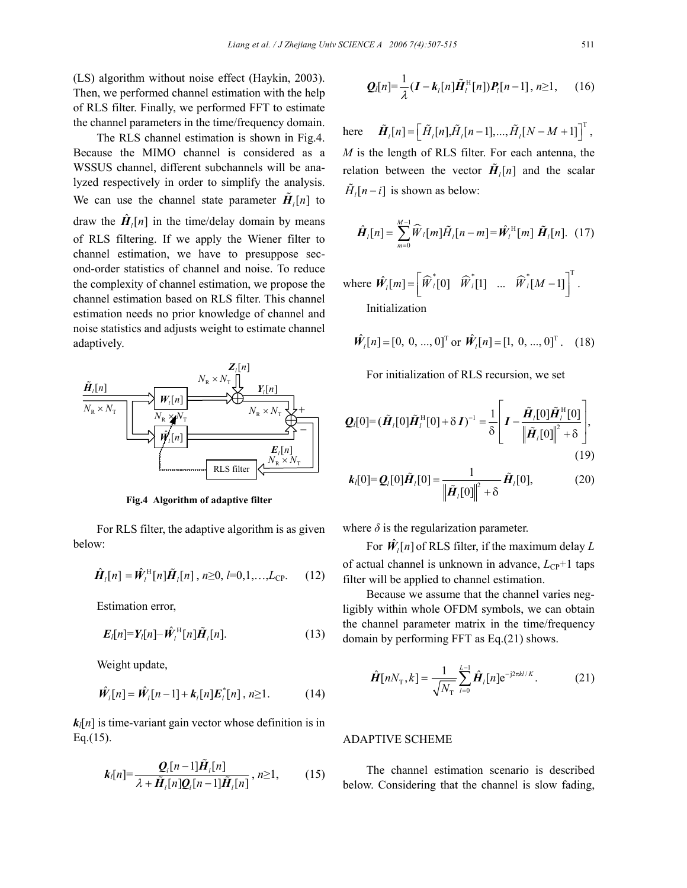(LS) algorithm without noise effect (Haykin, 2003). Then, we performed channel estimation with the help of RLS filter. Finally, we performed FFT to estimate the channel parameters in the time/frequency domain.

The RLS channel estimation is shown in Fig.4. Because the MIMO channel is considered as a WSSUS channel, different subchannels will be analyzed respectively in order to simplify the analysis. We can use the channel state parameter  $\tilde{H}_{i}[n]$  to draw the  $\hat{H}_{i}[n]$  in the time/delay domain by means of RLS filtering. If we apply the Wiener filter to channel estimation, we have to presuppose second-order statistics of channel and noise. To reduce the complexity of channel estimation, we propose the channel estimation based on RLS filter. This channel estimation needs no prior knowledge of channel and noise statistics and adjusts weight to estimate channel adaptively.



**Fig.4 Algorithm of adaptive filter**

For RLS filter, the adaptive algorithm is as given below:

$$
\hat{H}_{l}[n] = \hat{W}_{l}^{H}[n]\tilde{H}_{l}[n], n \ge 0, l = 0, 1, \dots, L_{\text{CP}}.
$$
 (12)

Estimation error,

$$
E_l[n] = Y_l[n] - \hat{W}_l^{\mathrm{H}}[n]\tilde{H}_l[n]. \tag{13}
$$

Weight update,

$$
\hat{W}_{i}[n] = \hat{W}_{i}[n-1] + k_{i}[n]E_{i}^{*}[n], n \ge 1.
$$
 (14)

 $k_l[n]$  is time-variant gain vector whose definition is in Eq.(15).

$$
\boldsymbol{k}_{l}[n] = \frac{\boldsymbol{Q}_{l}[n-1]\tilde{\boldsymbol{H}}_{l}[n]}{\lambda + \tilde{\boldsymbol{H}}_{l}[n]\boldsymbol{Q}_{l}[n-1]\tilde{\boldsymbol{H}}_{l}[n]}, n \ge 1, \qquad (15)
$$

$$
\mathbf{Q}_l[n] = \frac{1}{\lambda} (\mathbf{I} - \mathbf{k}_l[n] \tilde{\mathbf{H}}_l^{\mathrm{H}}[n]) \mathbf{P}_l[n-1], n \ge 1, \quad (16)
$$

here  $\tilde{H}_{l}[n] = \left[ \tilde{H}_{l}[n], \tilde{H}_{l}[n-1], ..., \tilde{H}_{l}[N-M+1] \right]^{T}$ , *M* is the length of RLS filter. For each antenna, the relation between the vector  $\tilde{H}_{\ell}[n]$  and the scalar  $\tilde{H}_i[n-i]$  is shown as below:

$$
\hat{\boldsymbol{H}}_l[n] = \sum_{m=0}^{M-1} \widehat{W}_l[m] \tilde{H}_l[n-m] = \hat{\boldsymbol{W}}_l^{\mathrm{H}}[m] \; \tilde{\boldsymbol{H}}_l[n]. \tag{17}
$$

where  $\hat{W}_i[m] = \begin{bmatrix} \widehat{W}_i[0] & \widehat{W}_i[1] & \dots & \widehat{W}_i[M-1] \end{bmatrix}^T$ . Initialization

$$
\hat{\mathbf{W}}_l[n] = [0, 0, ..., 0]^T
$$
 or  $\hat{\mathbf{W}}_l[n] = [1, 0, ..., 0]^T$ . (18)

For initialization of RLS recursion, we set

$$
\mathbf{Q}_{l}[0] = (\tilde{\boldsymbol{H}}_{l}[0]\tilde{\boldsymbol{H}}_{l}^{\mathrm{H}}[0] + \delta \boldsymbol{I})^{-1} = \frac{1}{\delta} \left[\boldsymbol{I} - \frac{\tilde{\boldsymbol{H}}_{l}[0]\tilde{\boldsymbol{H}}_{l}^{\mathrm{H}}[0]}{\left\|\tilde{\boldsymbol{H}}_{l}[0]\right\|^{2} + \delta}\right],
$$
\n(19)

$$
\boldsymbol{k}_{l}[0] = \boldsymbol{Q}_{l}[0]\tilde{\boldsymbol{H}}_{l}[0] = \frac{1}{\left\| \tilde{\boldsymbol{H}}_{l}[0] \right\|^{2} + \delta} \tilde{\boldsymbol{H}}_{l}[0],
$$
 (20)

where  $\delta$  is the regularization parameter.

For  $\hat{W}_i[n]$  of RLS filter, if the maximum delay L of actual channel is unknown in advance,  $L_{CP}+1$  taps filter will be applied to channel estimation.

Because we assume that the channel varies negligibly within whole OFDM symbols, we can obtain the channel parameter matrix in the time/frequency domain by performing FFT as Eq.(21) shows.

$$
\hat{H}[nN_{\rm T},k] = \frac{1}{\sqrt{N_{\rm T}}} \sum_{l=0}^{L-1} \hat{H}_l[n] e^{-j2\pi kl/K}.
$$
 (21)

# ADAPTIVE SCHEME

The channel estimation scenario is described below. Considering that the channel is slow fading,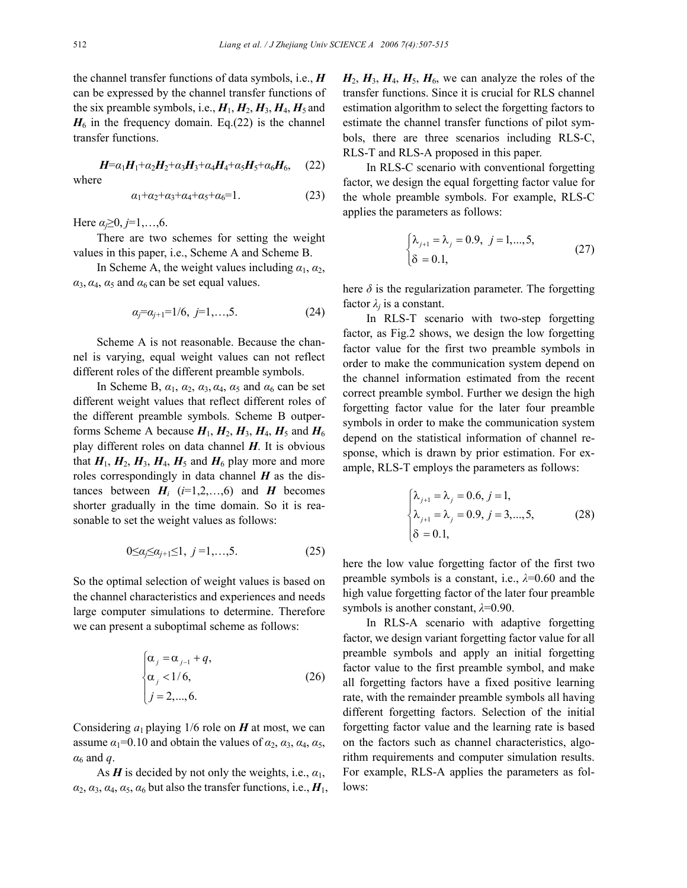the channel transfer functions of data symbols, i.e., *H* can be expressed by the channel transfer functions of the six preamble symbols, i.e.,  $H_1$ ,  $H_2$ ,  $H_3$ ,  $H_4$ ,  $H_5$  and  $H_6$  in the frequency domain. Eq.(22) is the channel transfer functions.

$$
H = \alpha_1 H_1 + \alpha_2 H_2 + \alpha_3 H_3 + \alpha_4 H_4 + \alpha_5 H_5 + \alpha_6 H_6, \quad (22)
$$

where

$$
\alpha_1 + \alpha_2 + \alpha_3 + \alpha_4 + \alpha_5 + \alpha_6 = 1. \tag{23}
$$

Here *αj*≥0, *j*=1,…,6.

There are two schemes for setting the weight values in this paper, i.e., Scheme A and Scheme B.

In Scheme A, the weight values including  $\alpha_1, \alpha_2$ ,  $\alpha_3$ ,  $\alpha_4$ ,  $\alpha_5$  and  $\alpha_6$  can be set equal values.

$$
\alpha_j = \alpha_{j+1} = 1/6, \ j = 1, \dots, 5. \tag{24}
$$

Scheme A is not reasonable. Because the channel is varying, equal weight values can not reflect different roles of the different preamble symbols.

In Scheme B,  $\alpha_1$ ,  $\alpha_2$ ,  $\alpha_3$ ,  $\alpha_4$ ,  $\alpha_5$  and  $\alpha_6$  can be set different weight values that reflect different roles of the different preamble symbols. Scheme B outperforms Scheme A because  $H_1$ ,  $H_2$ ,  $H_3$ ,  $H_4$ ,  $H_5$  and  $H_6$ play different roles on data channel *H*. It is obvious that  $H_1$ ,  $H_2$ ,  $H_3$ ,  $H_4$ ,  $H_5$  and  $H_6$  play more and more roles correspondingly in data channel  $H$  as the distances between  $H_i$  ( $i=1,2,...,6$ ) and  $H$  becomes shorter gradually in the time domain. So it is reasonable to set the weight values as follows:

$$
0 \leq a_j \leq a_{j+1} \leq 1, \ j = 1, \dots, 5. \tag{25}
$$

So the optimal selection of weight values is based on the channel characteristics and experiences and needs large computer simulations to determine. Therefore we can present a suboptimal scheme as follows:

$$
\begin{cases} \alpha_j = \alpha_{j-1} + q, \\ \alpha_j < 1/6, \\ j = 2, \dots, 6. \end{cases} \tag{26}
$$

Considering  $a_1$  playing 1/6 role on  $H$  at most, we can assume  $\alpha_1$ =0.10 and obtain the values of  $\alpha_2$ ,  $\alpha_3$ ,  $\alpha_4$ ,  $\alpha_5$ ,  $\alpha_6$  and *q*.

As  $H$  is decided by not only the weights, i.e.,  $\alpha_1$ ,  $\alpha_2$ ,  $\alpha_3$ ,  $\alpha_4$ ,  $\alpha_5$ ,  $\alpha_6$  but also the transfer functions, i.e.,  $H_1$ ,  $H_2$ ,  $H_3$ ,  $H_4$ ,  $H_5$ ,  $H_6$ , we can analyze the roles of the transfer functions. Since it is crucial for RLS channel estimation algorithm to select the forgetting factors to estimate the channel transfer functions of pilot symbols, there are three scenarios including RLS-C, RLS-T and RLS-A proposed in this paper.

In RLS-C scenario with conventional forgetting factor, we design the equal forgetting factor value for the whole preamble symbols. For example, RLS-C applies the parameters as follows:

$$
\begin{cases} \lambda_{j+1} = \lambda_j = 0.9, \ j = 1, ..., 5, \\ \delta = 0.1, \end{cases}
$$
 (27)

here  $\delta$  is the regularization parameter. The forgetting factor  $\lambda_i$  is a constant.

In RLS-T scenario with two-step forgetting factor, as Fig.2 shows, we design the low forgetting factor value for the first two preamble symbols in order to make the communication system depend on the channel information estimated from the recent correct preamble symbol. Further we design the high forgetting factor value for the later four preamble symbols in order to make the communication system depend on the statistical information of channel response, which is drawn by prior estimation. For example, RLS-T employs the parameters as follows:

$$
\begin{cases} \lambda_{j+1} = \lambda_j = 0.6, j = 1, \\ \lambda_{j+1} = \lambda_j = 0.9, j = 3,..., 5, \\ \delta = 0.1, \end{cases}
$$
 (28)

here the low value forgetting factor of the first two preamble symbols is a constant, i.e.,  $\lambda$ =0.60 and the high value forgetting factor of the later four preamble symbols is another constant, *λ*=0.90.

In RLS-A scenario with adaptive forgetting factor, we design variant forgetting factor value for all preamble symbols and apply an initial forgetting factor value to the first preamble symbol, and make all forgetting factors have a fixed positive learning rate, with the remainder preamble symbols all having different forgetting factors. Selection of the initial forgetting factor value and the learning rate is based on the factors such as channel characteristics, algorithm requirements and computer simulation results. For example, RLS-A applies the parameters as follows: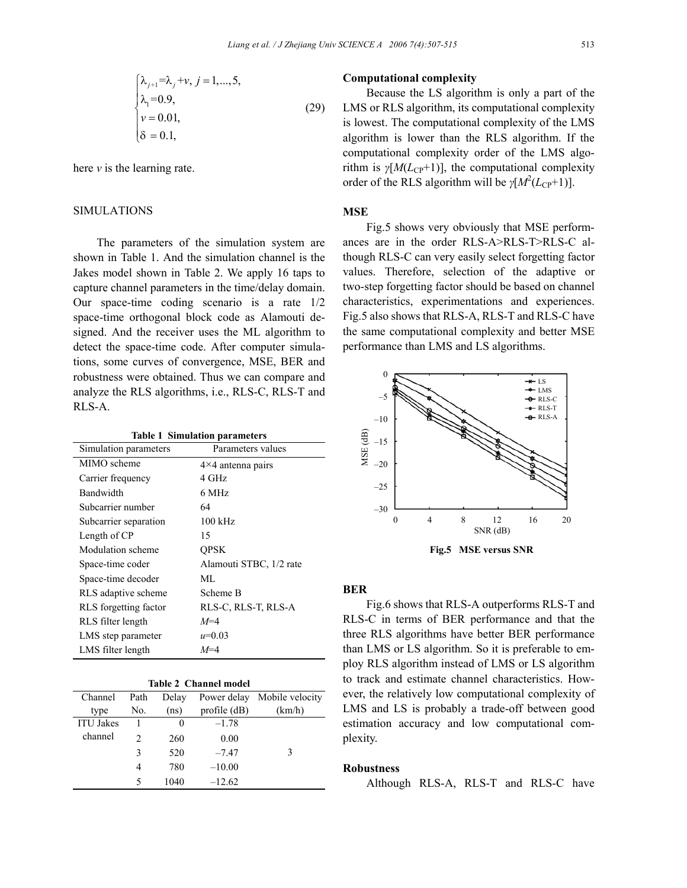$$
\begin{cases}\n\lambda_{j+1} = \lambda_j + v, \ j = 1, ..., 5, \\
\lambda_1 = 0.9, \\
v = 0.01, \\
\delta = 0.1,\n\end{cases}
$$
\n(29)

here *v* is the learning rate.

# **SIMULATIONS**

The parameters of the simulation system are shown in Table 1. And the simulation channel is the Jakes model shown in Table 2. We apply 16 taps to capture channel parameters in the time/delay domain. Our space-time coding scenario is a rate 1/2 space-time orthogonal block code as Alamouti designed. And the receiver uses the ML algorithm to detect the space-time code. After computer simulations, some curves of convergence, MSE, BER and robustness were obtained. Thus we can compare and analyze the RLS algorithms, i.e., RLS-C, RLS-T and RLS-A.

| Simulation parameters | Parameters values        |  |  |
|-----------------------|--------------------------|--|--|
| MIMO scheme           | $4\times4$ antenna pairs |  |  |
| Carrier frequency     | 4 GHz                    |  |  |
| Bandwidth             | 6 MHz                    |  |  |
| Subcarrier number     | 64                       |  |  |
| Subcarrier separation | $100$ kHz                |  |  |
| Length of CP          | 15                       |  |  |
| Modulation scheme     | <b>OPSK</b>              |  |  |
| Space-time coder      | Alamouti STBC, 1/2 rate  |  |  |
| Space-time decoder    | ML                       |  |  |
| RLS adaptive scheme   | Scheme B                 |  |  |
| RLS forgetting factor | RLS-C, RLS-T, RLS-A      |  |  |
| RLS filter length     | $M=4$                    |  |  |
| LMS step parameter    | $u=0.03$                 |  |  |
| LMS filter length     | $M=4$                    |  |  |

| <b>Table 2 Channel model</b> |                             |                   |              |                 |  |
|------------------------------|-----------------------------|-------------------|--------------|-----------------|--|
| Channel                      | Path                        | Delay             | Power delay  | Mobile velocity |  |
| type                         | No.                         | (n <sub>S</sub> ) | profile (dB) | (km/h)          |  |
| <b>ITU Jakes</b>             |                             | 0                 | $-1.78$      |                 |  |
| channel                      | $\mathcal{D}_{\mathcal{A}}$ | 260               | 0.00         |                 |  |
|                              | 3                           | 520               | $-747$       | ٩               |  |
|                              | 4                           | 780               | $-10.00$     |                 |  |
|                              | 5                           | 1040              | $-12.62$     |                 |  |

#### **Computational complexity**

Because the LS algorithm is only a part of the LMS or RLS algorithm, its computational complexity is lowest. The computational complexity of the LMS algorithm is lower than the RLS algorithm. If the computational complexity order of the LMS algorithm is  $\gamma[M(L_{CP}+1)]$ , the computational complexity order of the RLS algorithm will be  $\gamma[M^2(L_{CP}+1)]$ .

## **MSE**

Fig.5 shows very obviously that MSE performances are in the order RLS-A>RLS-T>RLS-C although RLS-C can very easily select forgetting factor values. Therefore, selection of the adaptive or two-step forgetting factor should be based on channel characteristics, experimentations and experiences. Fig.5 also shows that RLS-A, RLS-T and RLS-C have the same computational complexity and better MSE performance than LMS and LS algorithms.



## **BER**

Fig.6 shows that RLS-A outperforms RLS-T and RLS-C in terms of BER performance and that the three RLS algorithms have better BER performance than LMS or LS algorithm. So it is preferable to employ RLS algorithm instead of LMS or LS algorithm to track and estimate channel characteristics. However, the relatively low computational complexity of LMS and LS is probably a trade-off between good estimation accuracy and low computational complexity.

#### **Robustness**

Although RLS-A, RLS-T and RLS-C have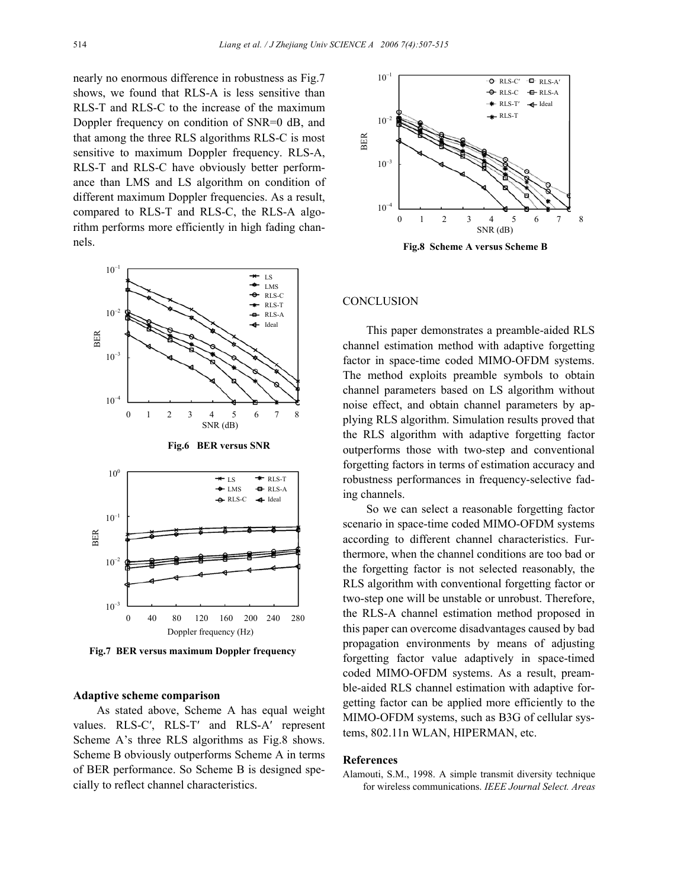nearly no enormous difference in robustness as Fig.7 shows, we found that RLS-A is less sensitive than RLS-T and RLS-C to the increase of the maximum Doppler frequency on condition of SNR=0 dB, and that among the three RLS algorithms RLS-C is most sensitive to maximum Doppler frequency. RLS-A, RLS-T and RLS-C have obviously better performance than LMS and LS algorithm on condition of different maximum Doppler frequencies. As a result, compared to RLS-T and RLS-C, the RLS-A algorithm performs more efficiently in high fading channels.



**Fig.7 BER versus maximum Doppler frequency** 

# **Adaptive scheme comparison**

As stated above, Scheme A has equal weight values. RLS-C′, RLS-T′ and RLS-A′ represent Scheme A's three RLS algorithms as Fig.8 shows. Scheme B obviously outperforms Scheme A in terms of BER performance. So Scheme B is designed specially to reflect channel characteristics.



**Fig.8 Scheme A versus Scheme B**

## **CONCLUSION**

This paper demonstrates a preamble-aided RLS channel estimation method with adaptive forgetting factor in space-time coded MIMO-OFDM systems. The method exploits preamble symbols to obtain channel parameters based on LS algorithm without noise effect, and obtain channel parameters by applying RLS algorithm. Simulation results proved that the RLS algorithm with adaptive forgetting factor outperforms those with two-step and conventional forgetting factors in terms of estimation accuracy and robustness performances in frequency-selective fading channels.

So we can select a reasonable forgetting factor scenario in space-time coded MIMO-OFDM systems according to different channel characteristics. Furthermore, when the channel conditions are too bad or the forgetting factor is not selected reasonably, the RLS algorithm with conventional forgetting factor or two-step one will be unstable or unrobust. Therefore, the RLS-A channel estimation method proposed in this paper can overcome disadvantages caused by bad propagation environments by means of adjusting forgetting factor value adaptively in space-timed coded MIMO-OFDM systems. As a result, preamble-aided RLS channel estimation with adaptive forgetting factor can be applied more efficiently to the MIMO-OFDM systems, such as B3G of cellular systems, 802.11n WLAN, HIPERMAN, etc.

## **References**

Alamouti, S.M., 1998. A simple transmit diversity technique for wireless communications. *IEEE Journal Select. Areas*